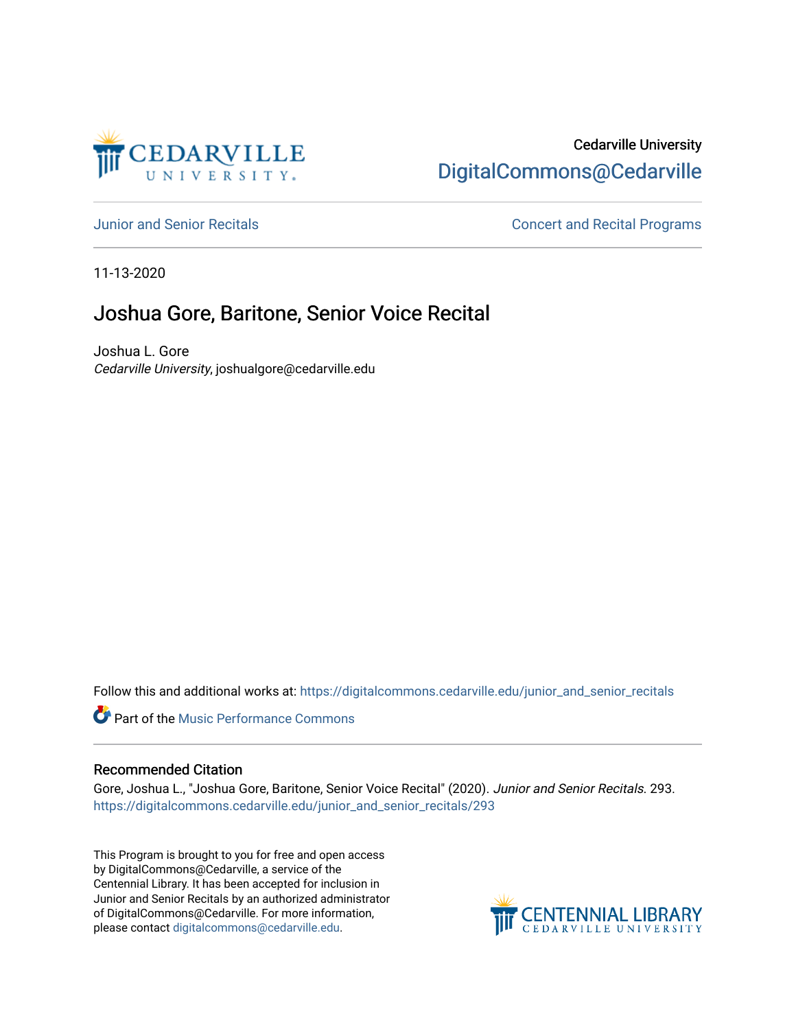

# Cedarville University [DigitalCommons@Cedarville](https://digitalcommons.cedarville.edu/)

[Junior and Senior Recitals](https://digitalcommons.cedarville.edu/junior_and_senior_recitals) [Concert and Recital Programs](https://digitalcommons.cedarville.edu/concert_and_recital_programs) 

11-13-2020

# Joshua Gore, Baritone, Senior Voice Recital

Joshua L. Gore Cedarville University, joshualgore@cedarville.edu

Follow this and additional works at: [https://digitalcommons.cedarville.edu/junior\\_and\\_senior\\_recitals](https://digitalcommons.cedarville.edu/junior_and_senior_recitals?utm_source=digitalcommons.cedarville.edu%2Fjunior_and_senior_recitals%2F293&utm_medium=PDF&utm_campaign=PDFCoverPages) 

**Part of the [Music Performance Commons](http://network.bepress.com/hgg/discipline/1128?utm_source=digitalcommons.cedarville.edu%2Fjunior_and_senior_recitals%2F293&utm_medium=PDF&utm_campaign=PDFCoverPages)** 

### Recommended Citation

Gore, Joshua L., "Joshua Gore, Baritone, Senior Voice Recital" (2020). Junior and Senior Recitals. 293. [https://digitalcommons.cedarville.edu/junior\\_and\\_senior\\_recitals/293](https://digitalcommons.cedarville.edu/junior_and_senior_recitals/293?utm_source=digitalcommons.cedarville.edu%2Fjunior_and_senior_recitals%2F293&utm_medium=PDF&utm_campaign=PDFCoverPages) 

This Program is brought to you for free and open access by DigitalCommons@Cedarville, a service of the Centennial Library. It has been accepted for inclusion in Junior and Senior Recitals by an authorized administrator of DigitalCommons@Cedarville. For more information, please contact [digitalcommons@cedarville.edu](mailto:digitalcommons@cedarville.edu).

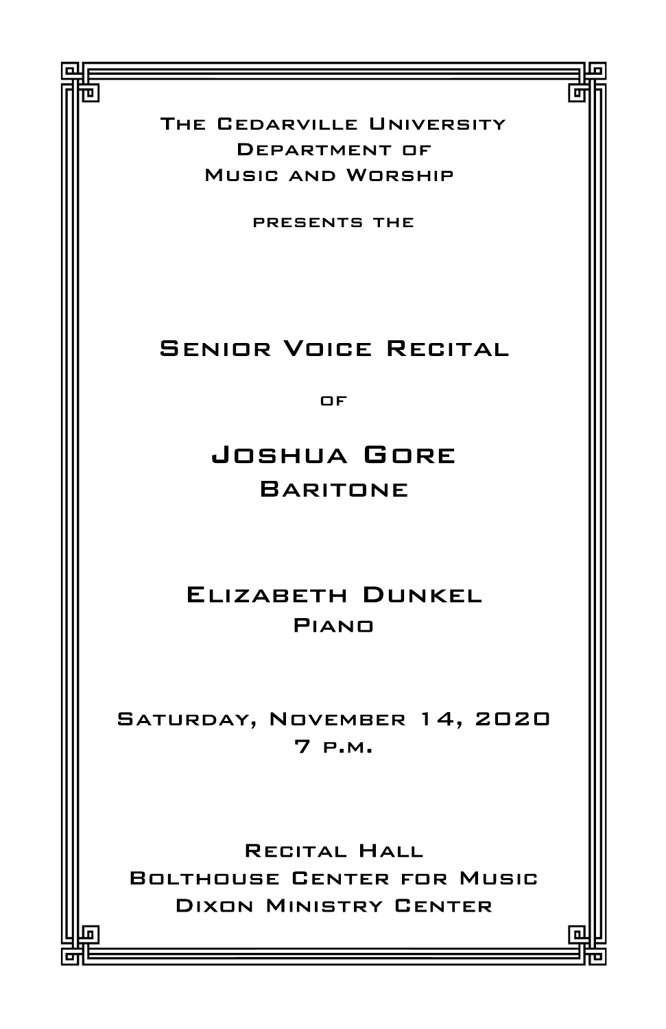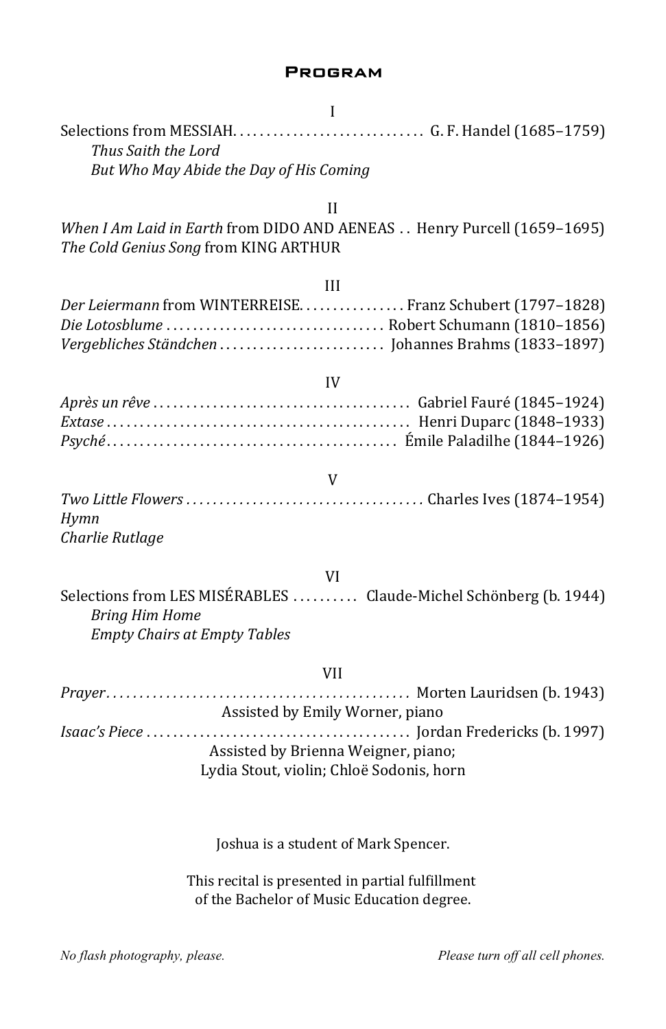### **PROGRAM**

| I                                                                                          |
|--------------------------------------------------------------------------------------------|
| Thus Saith the Lord                                                                        |
| But Who May Abide the Day of His Coming                                                    |
|                                                                                            |
| $_{\rm II}$                                                                                |
| When I Am Laid in Earth from DIDO AND AENEAS  Henry Purcell (1659-1695)                    |
| The Cold Genius Song from KING ARTHUR                                                      |
|                                                                                            |
| Ш<br>Der Leiermann from WINTERREISEFranz Schubert (1797-1828)                              |
|                                                                                            |
|                                                                                            |
|                                                                                            |
| IV                                                                                         |
|                                                                                            |
|                                                                                            |
|                                                                                            |
| V                                                                                          |
|                                                                                            |
| Hymn                                                                                       |
| Charlie Rutlage                                                                            |
|                                                                                            |
| <b>VI</b>                                                                                  |
| Selections from LES MISÉRABLES  Claude-Michel Schönberg (b. 1944)<br><b>Bring Him Home</b> |
| <b>Empty Chairs at Empty Tables</b>                                                        |
| <b>VII</b>                                                                                 |
|                                                                                            |
| Assisted by Emily Worner, piano                                                            |
|                                                                                            |
| Assisted by Brienna Weigner, piano;                                                        |
| Lydia Stout, violin; Chloë Sodonis, horn                                                   |
|                                                                                            |
|                                                                                            |
|                                                                                            |

Joshua is a student of Mark Spencer.

This recital is presented in partial fulfillment of the Bachelor of Music Education degree.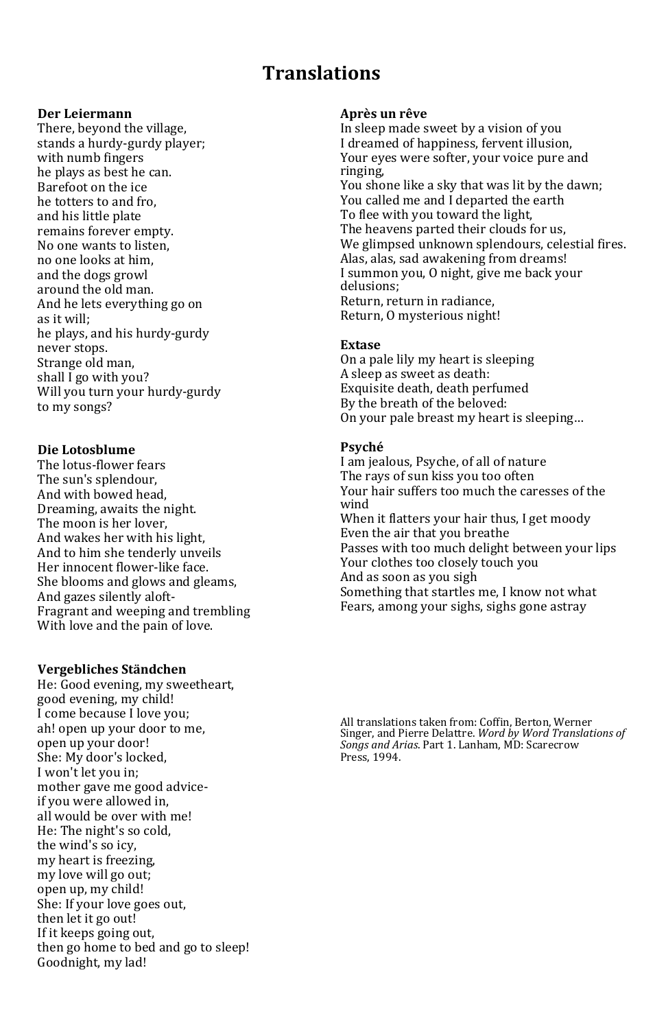## Translations

#### Der Leiermann

There, beyond the village, stands a hurdy-gurdy player; with numb fingers he plays as best he can. Barefoot on the ice he totters to and fro, and his little plate remains forever empty. No one wants to listen, no one looks at him, and the dogs growl around the old man. And he lets everything go on as it will; he plays, and his hurdy-gurdy never stops. Strange old man, shall I go with you? Will you turn your hurdy-gurdy to my songs?

#### Die Lotosblume

The lotus-flower fears The sun's splendour, And with bowed head, Dreaming, awaits the night. The moon is her lover, And wakes her with his light, And to him she tenderly unveils Her innocent flower-like face. She blooms and glows and gleams, And gazes silently aloft-Fragrant and weeping and trembling With love and the pain of love.

#### Vergebliches Ständchen

He: Good evening, my sweetheart, good evening, my child! I come because I love you; ah! open up your door to me, open up your door! She: My door's locked, I won't let you in; mother gave me good adviceif you were allowed in, all would be over with me! He: The night's so cold, the wind's so icy, my heart is freezing, my love will go out; open up, my child! She: If your love goes out, then let it go out! If it keeps going out, then go home to bed and go to sleep! Goodnight, my lad!

#### Après un rêve

In sleep made sweet by a vision of you I dreamed of happiness, fervent illusion, Your eyes were softer, your voice pure and ringing, You shone like a sky that was lit by the dawn; You called me and I departed the earth To flee with you toward the light, The heavens parted their clouds for us, We glimpsed unknown splendours, celestial fires. Alas, alas, sad awakening from dreams! I summon you, O night, give me back your delusions; Return, return in radiance, Return, O mysterious night!

#### Extase

On a pale lily my heart is sleeping A sleep as sweet as death: Exquisite death, death perfumed By the breath of the beloved: On your pale breast my heart is sleeping…

#### Psyché

I am jealous, Psyche, of all of nature The rays of sun kiss you too often Your hair suffers too much the caresses of the wind When it flatters your hair thus, I get moody Even the air that you breathe Passes with too much delight between your lips Your clothes too closely touch you And as soon as you sigh Something that startles me, I know not what Fears, among your sighs, sighs gone astray

All translations taken from: Coffin, Berton, Werner Singer, and Pierre Delattre. Word by Word Translations of Songs and Arias. Part 1. Lanham, MD: Scarecrow Press, 1994.